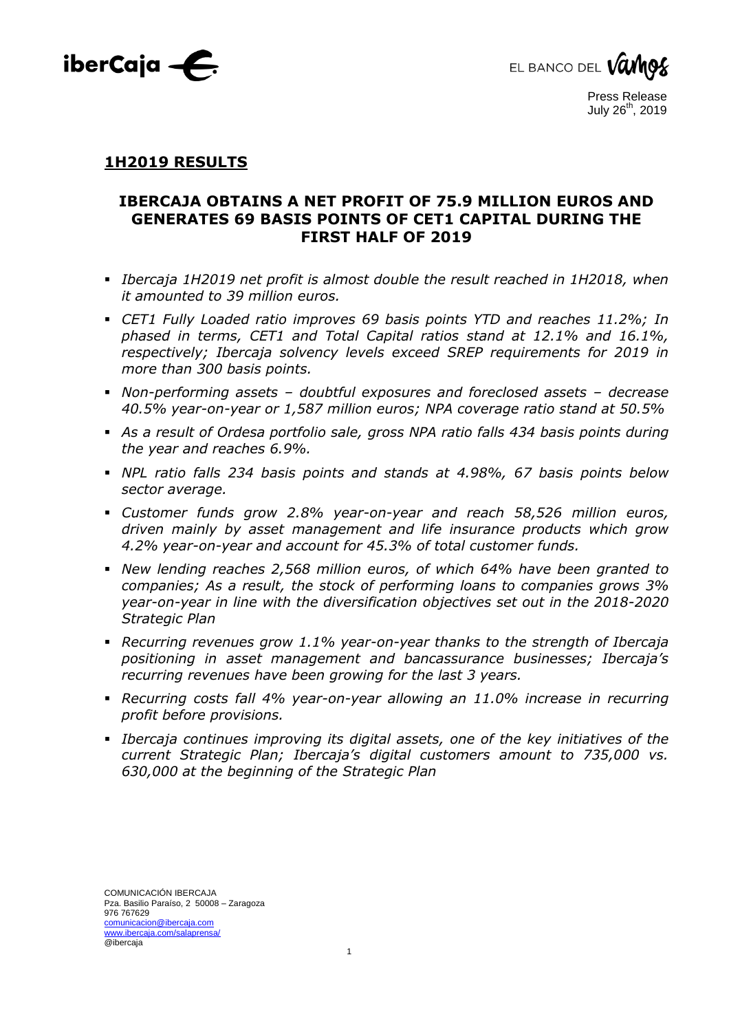



### **1H2019 RESULTS**

## **IBERCAJA OBTAINS A NET PROFIT OF 75.9 MILLION EUROS AND GENERATES 69 BASIS POINTS OF CET1 CAPITAL DURING THE FIRST HALF OF 2019**

- *Ibercaja 1H2019 net profit is almost double the result reached in 1H2018, when it amounted to 39 million euros.*
- *CET1 Fully Loaded ratio improves 69 basis points YTD and reaches 11.2%; In phased in terms, CET1 and Total Capital ratios stand at 12.1% and 16.1%, respectively; Ibercaja solvency levels exceed SREP requirements for 2019 in more than 300 basis points.*
- *Non-performing assets – doubtful exposures and foreclosed assets – decrease 40.5% year-on-year or 1,587 million euros; NPA coverage ratio stand at 50.5%*
- *As a result of Ordesa portfolio sale, gross NPA ratio falls 434 basis points during the year and reaches 6.9%.*
- *NPL ratio falls 234 basis points and stands at 4.98%, 67 basis points below sector average.*
- *Customer funds grow 2.8% year-on-year and reach 58,526 million euros, driven mainly by asset management and life insurance products which grow 4.2% year-on-year and account for 45.3% of total customer funds.*
- *New lending reaches 2,568 million euros, of which 64% have been granted to companies; As a result, the stock of performing loans to companies grows 3% year-on-year in line with the diversification objectives set out in the 2018-2020 Strategic Plan*
- *Recurring revenues grow 1.1% year-on-year thanks to the strength of Ibercaja positioning in asset management and bancassurance businesses; Ibercaja's recurring revenues have been growing for the last 3 years.*
- *Recurring costs fall 4% year-on-year allowing an 11.0% increase in recurring profit before provisions.*
- *Ibercaja continues improving its digital assets, one of the key initiatives of the current Strategic Plan; Ibercaja's digital customers amount to 735,000 vs. 630,000 at the beginning of the Strategic Plan*

1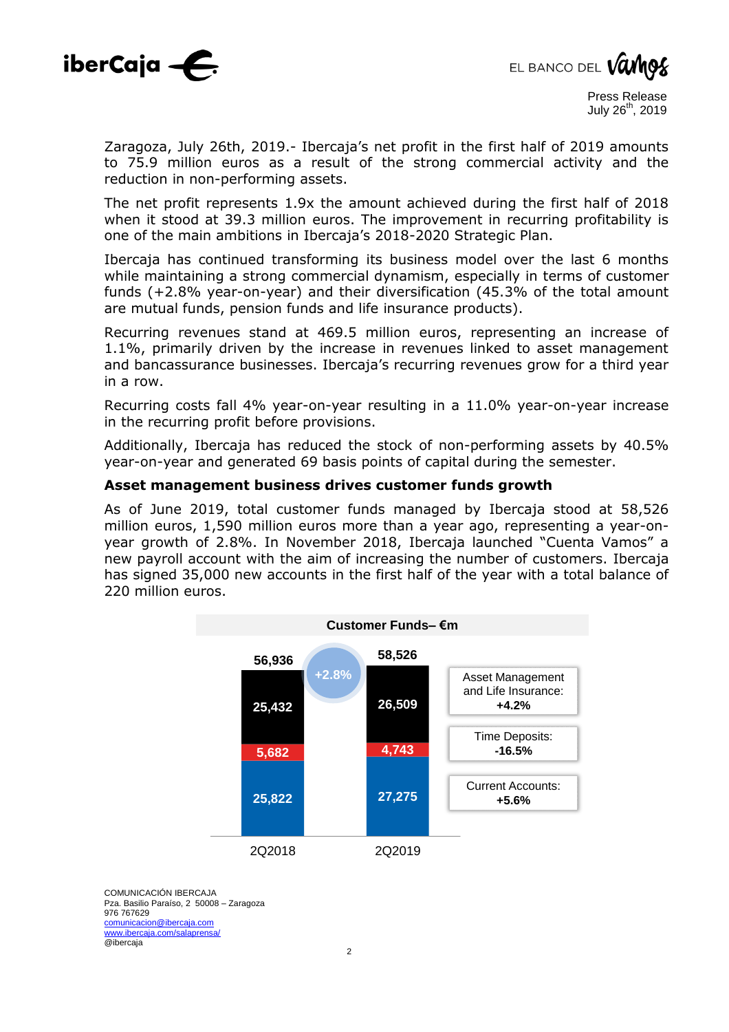



Zaragoza, July 26th, 2019.- Ibercaja's net profit in the first half of 2019 amounts to 75.9 million euros as a result of the strong commercial activity and the reduction in non-performing assets.

The net profit represents 1.9x the amount achieved during the first half of 2018 when it stood at 39.3 million euros. The improvement in recurring profitability is one of the main ambitions in Ibercaja's 2018-2020 Strategic Plan.

Ibercaja has continued transforming its business model over the last 6 months while maintaining a strong commercial dynamism, especially in terms of customer funds (+2.8% year-on-year) and their diversification (45.3% of the total amount are mutual funds, pension funds and life insurance products).

Recurring revenues stand at 469.5 million euros, representing an increase of 1.1%, primarily driven by the increase in revenues linked to asset management and bancassurance businesses. Ibercaja's recurring revenues grow for a third year in a row.

Recurring costs fall 4% year-on-year resulting in a 11.0% year-on-year increase in the recurring profit before provisions.

Additionally, Ibercaja has reduced the stock of non-performing assets by 40.5% year-on-year and generated 69 basis points of capital during the semester.

#### **Asset management business drives customer funds growth**

As of June 2019, total customer funds managed by Ibercaja stood at 58,526 million euros, 1,590 million euros more than a year ago, representing a year-onyear growth of 2.8%. In November 2018, Ibercaja launched "Cuenta Vamos" a new payroll account with the aim of increasing the number of customers. Ibercaja has signed 35,000 new accounts in the first half of the year with a total balance of 220 million euros.

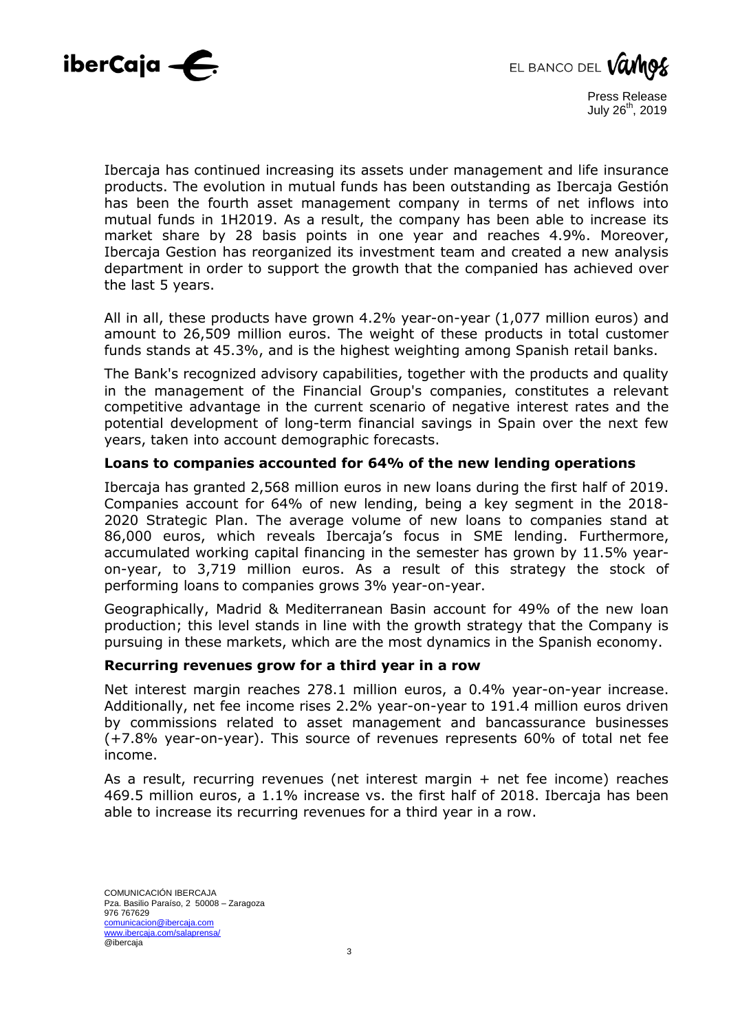



Ibercaja has continued increasing its assets under management and life insurance products. The evolution in mutual funds has been outstanding as Ibercaja Gestión has been the fourth asset management company in terms of net inflows into mutual funds in 1H2019. As a result, the company has been able to increase its market share by 28 basis points in one year and reaches 4.9%. Moreover, Ibercaja Gestion has reorganized its investment team and created a new analysis department in order to support the growth that the companied has achieved over the last 5 years.

All in all, these products have grown 4.2% year-on-year (1,077 million euros) and amount to 26,509 million euros. The weight of these products in total customer funds stands at 45.3%, and is the highest weighting among Spanish retail banks.

The Bank's recognized advisory capabilities, together with the products and quality in the management of the Financial Group's companies, constitutes a relevant competitive advantage in the current scenario of negative interest rates and the potential development of long-term financial savings in Spain over the next few years, taken into account demographic forecasts.

#### **Loans to companies accounted for 64% of the new lending operations**

Ibercaja has granted 2,568 million euros in new loans during the first half of 2019. Companies account for 64% of new lending, being a key segment in the 2018- 2020 Strategic Plan. The average volume of new loans to companies stand at 86,000 euros, which reveals Ibercaja's focus in SME lending. Furthermore, accumulated working capital financing in the semester has grown by 11.5% yearon-year, to 3,719 million euros. As a result of this strategy the stock of performing loans to companies grows 3% year-on-year.

Geographically, Madrid & Mediterranean Basin account for 49% of the new loan production; this level stands in line with the growth strategy that the Company is pursuing in these markets, which are the most dynamics in the Spanish economy.

#### **Recurring revenues grow for a third year in a row**

Net interest margin reaches 278.1 million euros, a 0.4% year-on-year increase. Additionally, net fee income rises 2.2% year-on-year to 191.4 million euros driven by commissions related to asset management and bancassurance businesses (+7.8% year-on-year). This source of revenues represents 60% of total net fee income.

As a result, recurring revenues (net interest margin + net fee income) reaches 469.5 million euros, a 1.1% increase vs. the first half of 2018. Ibercaja has been able to increase its recurring revenues for a third year in a row.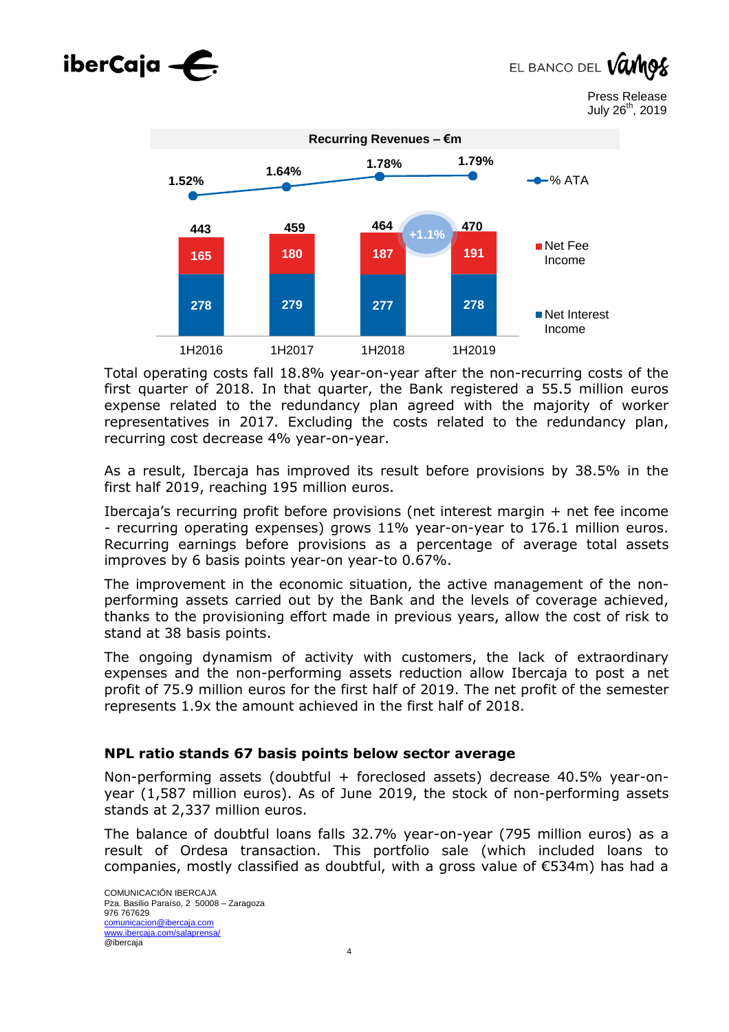# $iberCaja -<sub>5</sub>$

EL BANCO DEL VU

Press Release July 26<sup>th</sup>, 2019



Total operating costs fall 18.8% year-on-year after the non-recurring costs of the first quarter of 2018. In that quarter, the Bank registered a 55.5 million euros expense related to the redundancy plan agreed with the majority of worker representatives in 2017. Excluding the costs related to the redundancy plan, recurring cost decrease 4% year-on-year.

As a result, Ibercaja has improved its result before provisions by 38.5% in the first half 2019, reaching 195 million euros.

Ibercaja's recurring profit before provisions (net interest margin + net fee income - recurring operating expenses) grows 11% year-on-year to 176.1 million euros. Recurring earnings before provisions as a percentage of average total assets improves by 6 basis points year-on year-to 0.67%.

The improvement in the economic situation, the active management of the nonperforming assets carried out by the Bank and the levels of coverage achieved, thanks to the provisioning effort made in previous years, allow the cost of risk to stand at 38 basis points.

The ongoing dynamism of activity with customers, the lack of extraordinary expenses and the non-performing assets reduction allow Ibercaja to post a net profit of 75.9 million euros for the first half of 2019. The net profit of the semester represents 1.9x the amount achieved in the first half of 2018.

#### **NPL ratio stands 67 basis points below sector average**

Non-performing assets (doubtful + foreclosed assets) decrease 40.5% year-onyear (1,587 million euros). As of June 2019, the stock of non-performing assets stands at 2,337 million euros.

The balance of doubtful loans falls 32.7% year-on-year (795 million euros) as a result of Ordesa transaction. This portfolio sale (which included loans to companies, mostly classified as doubtful, with a gross value of €534m) has had a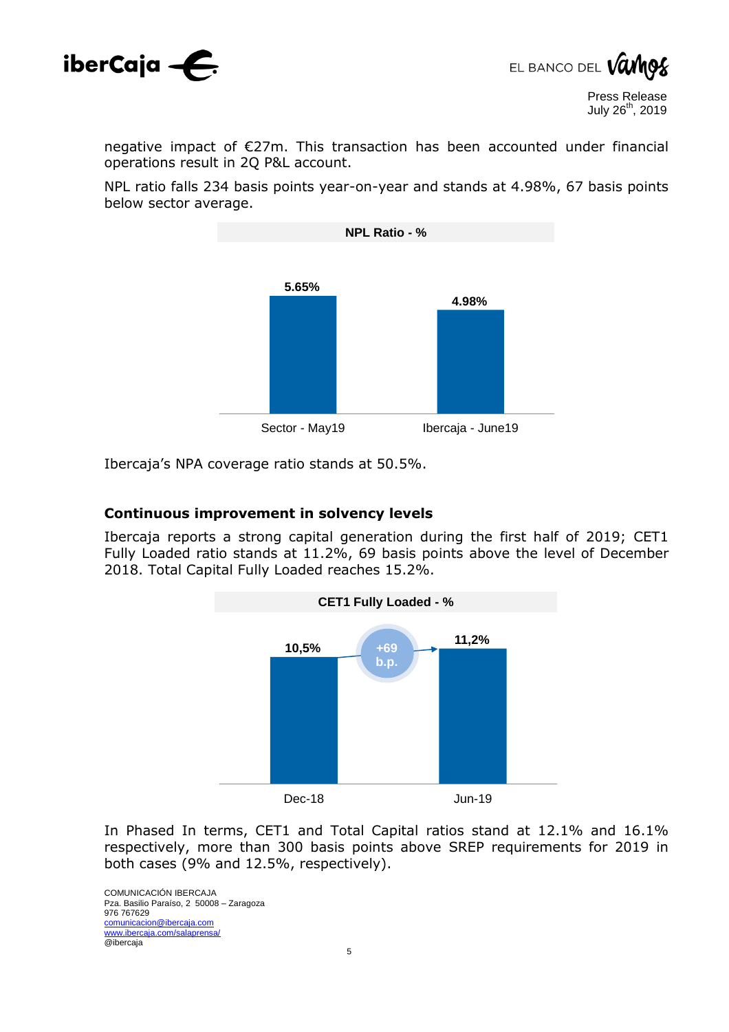



negative impact of €27m. This transaction has been accounted under financial operations result in 2Q P&L account.

NPL ratio falls 234 basis points year-on-year and stands at 4.98%, 67 basis points below sector average.



Ibercaja's NPA coverage ratio stands at 50.5%.

#### **Continuous improvement in solvency levels**

Ibercaja reports a strong capital generation during the first half of 2019; CET1 Fully Loaded ratio stands at 11.2%, 69 basis points above the level of December 2018. Total Capital Fully Loaded reaches 15.2%.



In Phased In terms, CET1 and Total Capital ratios stand at 12.1% and 16.1% respectively, more than 300 basis points above SREP requirements for 2019 in both cases (9% and 12.5%, respectively).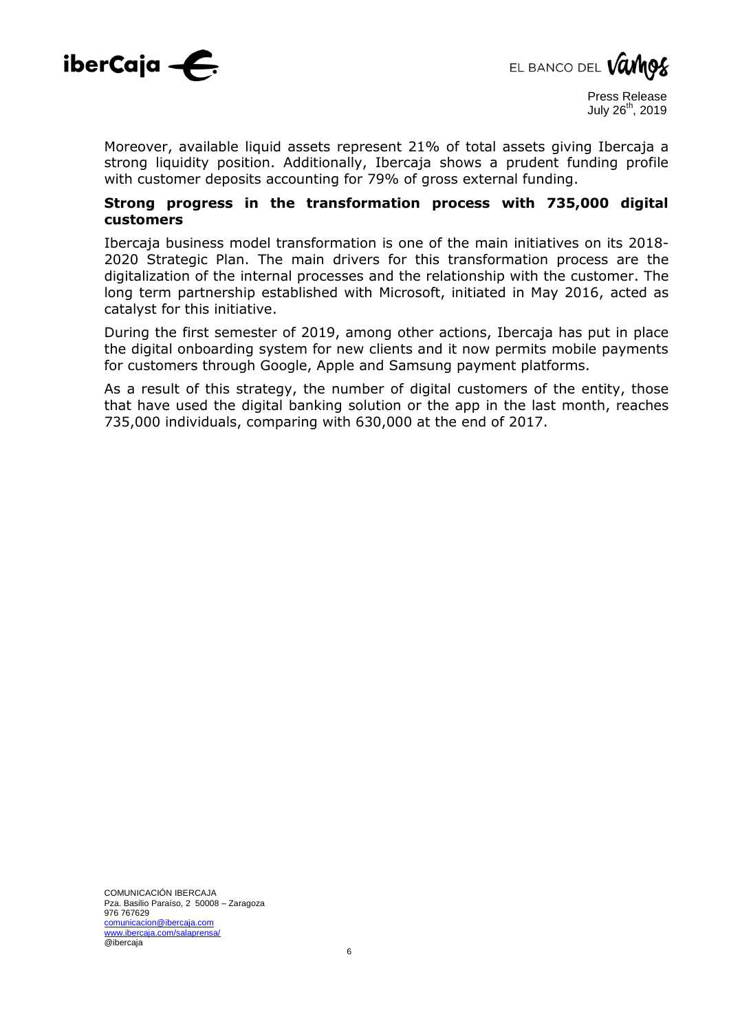



Moreover, available liquid assets represent 21% of total assets giving Ibercaja a strong liquidity position. Additionally, Ibercaja shows a prudent funding profile with customer deposits accounting for 79% of gross external funding.

#### **Strong progress in the transformation process with 735,000 digital customers**

Ibercaja business model transformation is one of the main initiatives on its 2018- 2020 Strategic Plan. The main drivers for this transformation process are the digitalization of the internal processes and the relationship with the customer. The long term partnership established with Microsoft, initiated in May 2016, acted as catalyst for this initiative.

During the first semester of 2019, among other actions, Ibercaja has put in place the digital onboarding system for new clients and it now permits mobile payments for customers through Google, Apple and Samsung payment platforms.

As a result of this strategy, the number of digital customers of the entity, those that have used the digital banking solution or the app in the last month, reaches 735,000 individuals, comparing with 630,000 at the end of 2017.